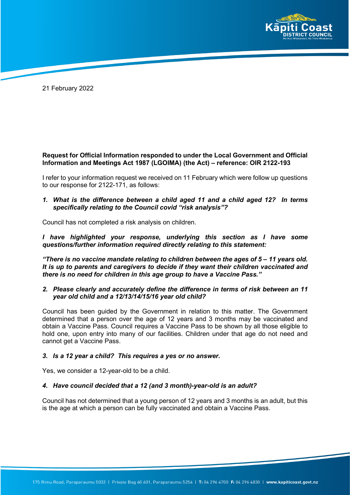

21 February 2022

## **Request for Official Information responded to under the Local Government and Official Information and Meetings Act 1987 (LGOIMA) (the Act) – reference: OIR 2122-193**

I refer to your information request we received on 11 February which were follow up questions to our response for 2122-171, as follows:

*1. What is the difference between a child aged 11 and a child aged 12? In terms specifically relating to the Council covid "risk analysis"?*

Council has not completed a risk analysis on children.

*I have highlighted your response, underlying this section as I have some questions/further information required directly relating to this statement:* 

*"There is no vaccine mandate relating to children between the ages of 5 – 11 years old. It is up to parents and caregivers to decide if they want their children vaccinated and there is no need for children in this age group to have a Vaccine Pass."* 

## *2. Please clearly and accurately define the difference in terms of risk between an 11 year old child and a 12/13/14/15/16 year old child?*

Council has been guided by the Government in relation to this matter. The Government determined that a person over the age of 12 years and 3 months may be vaccinated and obtain a Vaccine Pass. Council requires a Vaccine Pass to be shown by all those eligible to hold one, upon entry into many of our facilities. Children under that age do not need and cannot get a Vaccine Pass.

## *3. Is a 12 year a child? This requires a yes or no answer.*

Yes, we consider a 12-year-old to be a child.

## *4. Have council decided that a 12 (and 3 month)-year-old is an adult?*

Council has not determined that a young person of 12 years and 3 months is an adult, but this is the age at which a person can be fully vaccinated and obtain a Vaccine Pass.